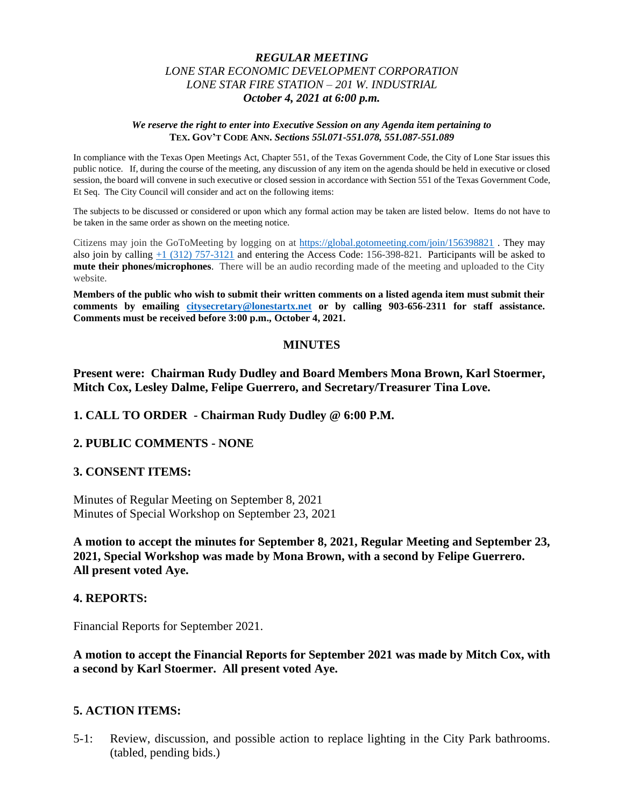# *REGULAR MEETING LONE STAR ECONOMIC DEVELOPMENT CORPORATION LONE STAR FIRE STATION – 201 W. INDUSTRIAL October 4, 2021 at 6:00 p.m.*

#### *We reserve the right to enter into Executive Session on any Agenda item pertaining to*  **TEX. GOV'T CODE ANN.** *Sections 55l.071-551.078, 551.087-551.089*

In compliance with the Texas Open Meetings Act, Chapter 551, of the Texas Government Code, the City of Lone Star issues this public notice. If, during the course of the meeting, any discussion of any item on the agenda should be held in executive or closed session, the board will convene in such executive or closed session in accordance with Section 551 of the Texas Government Code, Et Seq. The City Council will consider and act on the following items:

The subjects to be discussed or considered or upon which any formal action may be taken are listed below. Items do not have to be taken in the same order as shown on the meeting notice.

Citizens may join the GoToMeeting by logging on at <https://global.gotomeeting.com/join/156398821> . They may also join by calling [+1 \(312\) 757-3121](tel:+13127573121,,156398821) and entering the Access Code: 156-398-821. Participants will be asked to **mute their phones/microphones**. There will be an audio recording made of the meeting and uploaded to the City website.

**Members of the public who wish to submit their written comments on a listed agenda item must submit their comments by emailing [citysecretary@lonestartx.net](mailto:citysecretary@lonestartx.net) or by calling 903-656-2311 for staff assistance. Comments must be received before 3:00 p.m., October 4, 2021.**

### **MINUTES**

**Present were: Chairman Rudy Dudley and Board Members Mona Brown, Karl Stoermer, Mitch Cox, Lesley Dalme, Felipe Guerrero, and Secretary/Treasurer Tina Love.**

**1. CALL TO ORDER - Chairman Rudy Dudley @ 6:00 P.M.**

### **2. PUBLIC COMMENTS - NONE**

### **3. CONSENT ITEMS:**

Minutes of Regular Meeting on September 8, 2021 Minutes of Special Workshop on September 23, 2021

**A motion to accept the minutes for September 8, 2021, Regular Meeting and September 23, 2021, Special Workshop was made by Mona Brown, with a second by Felipe Guerrero. All present voted Aye.**

### **4. REPORTS:**

Financial Reports for September 2021.

**A motion to accept the Financial Reports for September 2021 was made by Mitch Cox, with a second by Karl Stoermer. All present voted Aye.**

### **5. ACTION ITEMS:**

5-1: Review, discussion, and possible action to replace lighting in the City Park bathrooms. (tabled, pending bids.)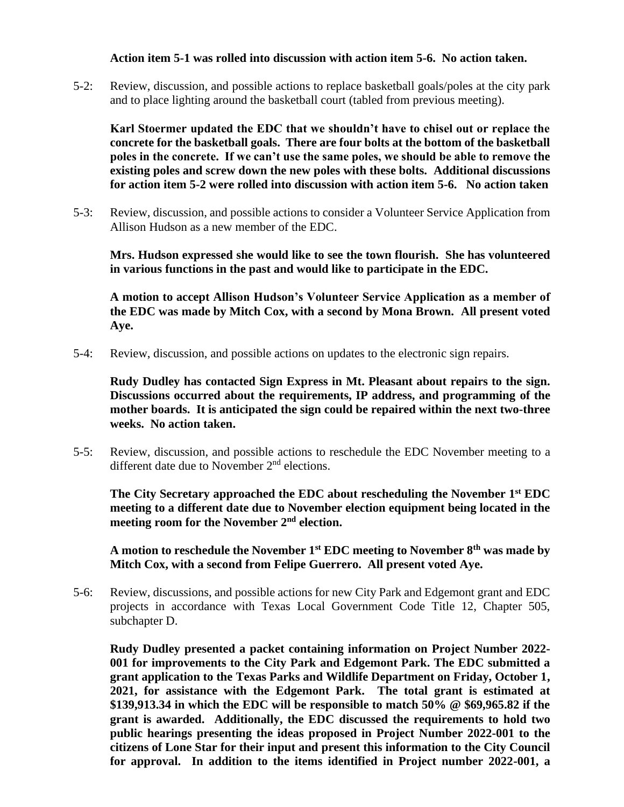# **Action item 5-1 was rolled into discussion with action item 5-6. No action taken.**

5-2: Review, discussion, and possible actions to replace basketball goals/poles at the city park and to place lighting around the basketball court (tabled from previous meeting).

**Karl Stoermer updated the EDC that we shouldn't have to chisel out or replace the concrete for the basketball goals. There are four bolts at the bottom of the basketball poles in the concrete. If we can't use the same poles, we should be able to remove the existing poles and screw down the new poles with these bolts. Additional discussions for action item 5-2 were rolled into discussion with action item 5-6. No action taken**

5-3: Review, discussion, and possible actions to consider a Volunteer Service Application from Allison Hudson as a new member of the EDC.

**Mrs. Hudson expressed she would like to see the town flourish. She has volunteered in various functions in the past and would like to participate in the EDC.**

**A motion to accept Allison Hudson's Volunteer Service Application as a member of the EDC was made by Mitch Cox, with a second by Mona Brown. All present voted Aye.**

5-4: Review, discussion, and possible actions on updates to the electronic sign repairs.

**Rudy Dudley has contacted Sign Express in Mt. Pleasant about repairs to the sign. Discussions occurred about the requirements, IP address, and programming of the mother boards. It is anticipated the sign could be repaired within the next two-three weeks. No action taken.**

5-5: Review, discussion, and possible actions to reschedule the EDC November meeting to a different date due to November 2<sup>nd</sup> elections.

**The City Secretary approached the EDC about rescheduling the November 1st EDC meeting to a different date due to November election equipment being located in the meeting room for the November 2nd election.**

**A motion to reschedule the November 1st EDC meeting to November 8th was made by Mitch Cox, with a second from Felipe Guerrero. All present voted Aye.**

5-6: Review, discussions, and possible actions for new City Park and Edgemont grant and EDC projects in accordance with Texas Local Government Code Title 12, Chapter 505, subchapter D.

**Rudy Dudley presented a packet containing information on Project Number 2022- 001 for improvements to the City Park and Edgemont Park. The EDC submitted a grant application to the Texas Parks and Wildlife Department on Friday, October 1, 2021, for assistance with the Edgemont Park. The total grant is estimated at \$139,913.34 in which the EDC will be responsible to match 50% @ \$69,965.82 if the grant is awarded. Additionally, the EDC discussed the requirements to hold two public hearings presenting the ideas proposed in Project Number 2022-001 to the citizens of Lone Star for their input and present this information to the City Council for approval. In addition to the items identified in Project number 2022-001, a**